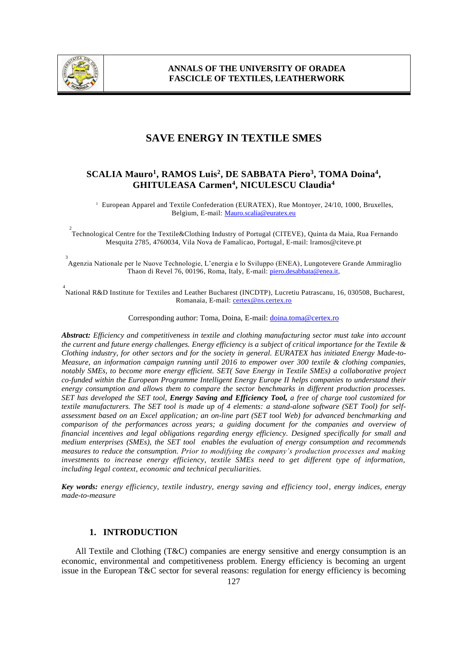

# **SAVE ENERGY IN TEXTILE SMES**

## **SCALIA Mauro<sup>1</sup> , RAMOS Luis<sup>2</sup> , DE SABBATA Piero<sup>3</sup> , TOMA Doina<sup>4</sup> , GHITULEASA Carmen<sup>4</sup> , NICULESCU Claudia<sup>4</sup>**

<sup>1</sup> European Apparel and Textile Confederation (EURATEX), Rue Montoyer, 24/10, 1000, Bruxelles, Belgium, E-mail: [Mauro.scalia@euratex.eu](mailto:Mauro.scalia@euratex.eu)

2 Technological Centre for the Textile&Clothing Industry of Portugal (CITEVE), Quinta da Maia, Rua Fernando Mesquita 2785, 4760034, Vila Nova de Famalicao, Portugal, E-mail: lramos@citeve.pt

3 Agenzia Nationale per le Nuove Technologie, L'energia e lo Sviluppo (ENEA), Lungotevere Grande Ammiraglio Thaon di Revel 76, 00196, Roma, Italy, E-mail: [piero.desabbata@enea.it,](mailto:piero.desabbata@enea.it)

4 National R&D Institute for Textiles and Leather Bucharest (INCDTP), Lucretiu Patrascanu, 16, 030508, Bucharest, Romanaia, E-mail: certex@ns.certex.ro

Corresponding author: Toma, Doina, E-mail: [doina.toma@certex.ro](mailto:doina.toma@certex.ro)

*Abstract: Efficiency and competitiveness in textile and clothing manufacturing sector must take into account the current and future energy challenges. Energy efficiency is a subject of critical importance for the Textile & Clothing industry, for other sectors and for the society in general. EURATEX has initiated Energy Made-to-Measure, an information campaign running until 2016 to empower over 300 textile & clothing companies, notably SMEs, to become more energy efficient. SET( Save Energy in Textile SMEs) a collaborative project co-funded within the European Programme Intelligent Energy Europe II helps companies to understand their energy consumption and allows them to compare the sector benchmarks in different production processes. SET has developed the SET tool, Energy Saving and Efficiency Tool, a free of charge tool customized for textile manufacturers. The SET tool is made up of 4 elements: a stand-alone software (SET Tool) for selfassessment based on an Excel application; an on-line part (SET tool Web) for advanced benchmarking and comparison of the performances across years; a guiding document for the companies and overview of financial incentives and legal obligations regarding energy efficiency. Designed specifically for small and medium enterprises (SMEs), the SET tool enables the evaluation of energy consumption and recommends measures to reduce the consumption. Prior to modifying the company's production processes and making investments to increase energy efficiency, textile SMEs need to get different type of information, including legal context, economic and technical peculiarities.*

*Key words: energy efficiency, textile industry, energy saving and efficiency tool, energy indices, energy made-to-measure*

#### **1. INTRODUCTION**

All Textile and Clothing (T&C) companies are energy sensitive and energy consumption is an economic, environmental and competitiveness problem. Energy efficiency is becoming an urgent issue in the European T&C sector for several reasons: regulation for energy efficiency is becoming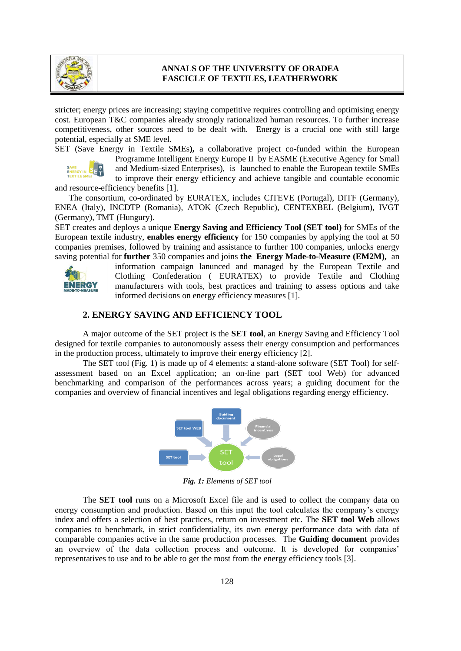

stricter; energy prices are increasing; staying competitive requires controlling and optimising energy cost. European T&C companies already strongly rationalized human resources. To further increase competitiveness, other sources need to be dealt with. Energy is a crucial one with still large potential, especially at SME level.

SET (Save Energy in Textile SMEs**),** a collaborative project co-funded within the European

Programme Intelligent Energy Europe II by EASME (Executive Agency for Small and Medium-sized Enterprises), is launched to enable the European textile SMEs to improve their energy efficiency and achieve tangible and countable economic

and resource-efficiency benefits [1].

The consortium, co-ordinated by EURATEX, includes CITEVE (Portugal), DITF (Germany), ENEA (Italy), INCDTP (Romania), ATOK (Czech Republic), CENTEXBEL (Belgium), IVGT (Germany), TMT (Hungury).

SET creates and deploys a unique **Energy Saving and Efficiency Tool (SET tool)** for SMEs of the European textile industry, **enables energy efficiency** for 150 companies by applying the tool at 50 companies premises, followed by training and assistance to further 100 companies, unlocks energy saving potential for **further** 350 companies and joins **the Energy Made-to-Measure (EM2M),** an



information campaign lanunced and managed by the European Textile and Clothing Confederation ( EURATEX) to provide Textile and Clothing manufacturers with tools, best practices and training to assess options and take informed decisions on energy efficiency measures [1].

## **2. ENERGY SAVING AND EFFICIENCY TOOL**

A major outcome of the SET project is the **SET tool**, an Energy Saving and Efficiency Tool designed for textile companies to autonomously assess their energy consumption and performances in the production process, ultimately to improve their energy efficiency [2].

The SET tool (Fig. 1) is made up of 4 elements: a stand-alone software (SET Tool) for selfassessment based on an Excel application; an on-line part (SET tool Web) for advanced benchmarking and comparison of the performances across years; a guiding document for the companies and overview of financial incentives and legal obligations regarding energy efficiency.



*Fig. 1: Elements of SET tool*

The **SET tool** runs on a Microsoft Excel file and is used to collect the company data on energy consumption and production. Based on this input the tool calculates the company's energy index and offers a selection of best practices, return on investment etc. The **SET tool Web** allows companies to benchmark, in strict confidentiality, its own energy performance data with data of comparable companies active in the same production processes. The **Guiding document** provides an overview of the data collection process and outcome. It is developed for companies' representatives to use and to be able to get the most from the energy efficiency tools [3].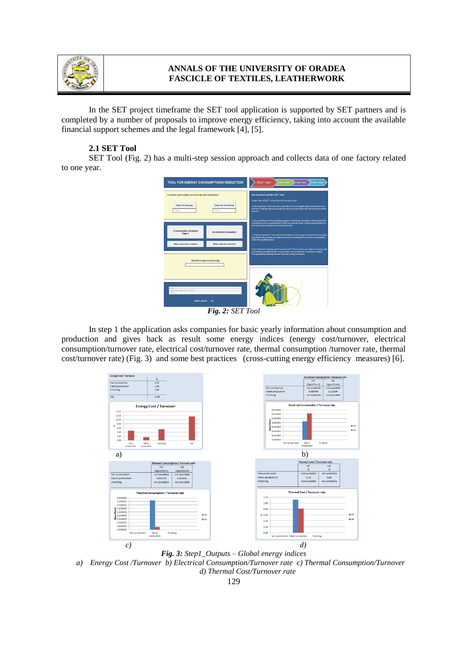

In the SET project timeframe the SET tool application is supported by SET partners and is completed by a number of proposals to improve energy efficiency, taking into account the available financial support schemes and the legal framework [4], [5].

## **2.1 SET Tool**

SET Tool (Fig. 2) has a multi-step session approach and collects data of one factory related to one year.



*Fig. 2: SET Tool*

In step 1 the application asks companies for basic yearly information about consumption and production and gives back as result some energy indices (energy cost/turnover, electrical consumption/turnover rate, electrical cost/turnover rate, thermal consumption /turnover rate, thermal cost/turnover rate) (Fig. 3) and some best practices (cross-cutting energy efficiency measures) [6].



*Fig. 3: Step1\_Outputs – Global energy indices a) Energy Cost /Turnover b) Electrical Consumption/Turnover rate c) Thermal Consumption/Turnover d) Thermal Cost/Turnover rate*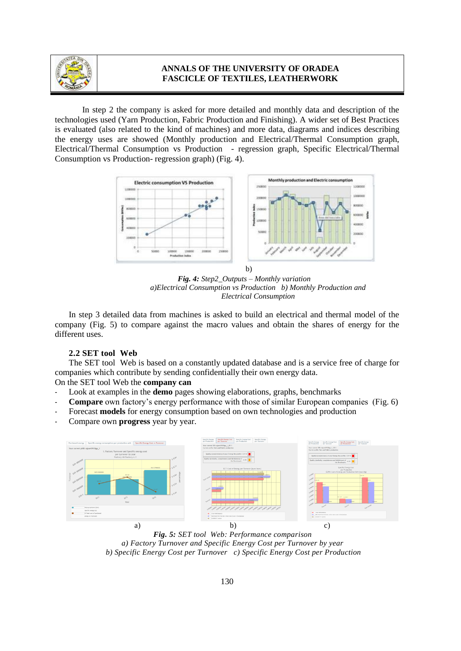

In step 2 the company is asked for more detailed and monthly data and description of the technologies used (Yarn Production, Fabric Production and Finishing). A wider set of Best Practices is evaluated (also related to the kind of machines) and more data, diagrams and indices describing the energy uses are showed (Monthly production and Electrical/Thermal Consumption graph, Electrical/Thermal Consumption vs Production - regression graph, Specific Electrical/Thermal Consumption vs Production- regression graph) (Fig. 4).



*Fig. 4: Step2\_Outputs – Monthly variation a)Electrical Consumption vs Production b) Monthly Production and Electrical Consumption*

In step 3 detailed data from machines is asked to build an electrical and thermal model of the company (Fig. 5) to compare against the macro values and obtain the shares of energy for the different uses.

#### **2.2 SET tool Web**

The SET tool Web is based on a constantly updated database and is a service free of charge for companies which contribute by sending confidentially their own energy data.

#### On the SET tool Web the **company can**

- Look at examples in the **demo** pages showing elaborations, graphs, benchmarks
- **Compare** own factory's energy performance with those of similar European companies (Fig. 6)
- Forecast **models** for energy consumption based on own technologies and production
- Compare own **progress** year by year.



*Fig. 5: SET tool Web: Performance comparison a) Factory Turnover and Specific Energy Cost per Turnover by year b) Specific Energy Cost per Turnover c) Specific Energy Cost per Production*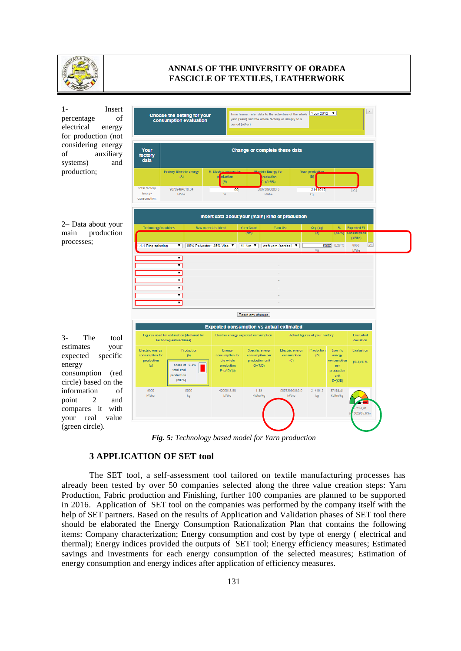

1- Insert percentage of electrical energy for production (not considering energy of auxiliary systems) and production;

2– Data about your main production processes;

3- The tool estimates your expected specific energy consumption (red circle) based on the information of point 2 and compares it with your real value (green circle).

 $\blacktriangleright$ **Year 2012** Time frame: refer data to the activities of the whole Choose the setting for you ear (Year) and the whole factory or simply to a consumption evalu period (other) Change or complete these data Your facton  $^{111}$ data Energy  $(A)$  $=(A^*B\%)$ Total far 96789494810,84 Energy kWhe kWhe Insert data about your (main) kind of production **Dow** Qty (kg) (kWhe) ▼ 65% Polyester - 35% Viso ▼ 41 Nm ▼ | weft yarn (carded) ▼  $\sqrt{2}$ Ring-spinning 5000 0,23 %  $\overline{\mathbf{r}}$  $\overline{\mathbf{v}}$  $\overline{\mathbf{v}}$ ÷ ₹  $\overline{\phantom{a}}$  $\overline{\phantom{0}}$ Reset any change Ext ted co n vs actu used for estimation (declared fo Actual figures of your Factory Figur technologies/machines deviation Energy Specific energy Electric energy Production Electric energy **Specifie** Evaluation consumption for  $(b)$ nsumption fo consumption pe consumption  $(D)$ eneray the whole<br>production roduction  $(G-E)/E$  % Share of 0,2%  $G = (F/D)$  $(a)$ pe П total real  $F=(a*D)/(b)$ production productio  $(b/D%)$  $E=IC/D$ 5000 4260613.88 1.99 58073696886.5 2141012 27124.41  $\overline{\mathbf{k}}$ g kWhe/kg kWhe kg kWhe/kg

*Fig. 5: Technology based model for Yarn production*

## **3 APPLICATION OF SET tool**

The SET tool, a self-assessment tool tailored on textile manufacturing processes has already been tested by over 50 companies selected along the three value creation steps: Yarn Production, Fabric production and Finishing, further 100 companies are planned to be supported in 2016. Application of SET tool on the companies was performed by the company itself with the help of SET partners. Based on the results of Application and Validation phases of SET tool there should be elaborated the [Energy](file:///C:/Users/Lili/mjcarvalho.CITEVE/AppData/Local/Microsoft/Windows/Temporary%20Internet%20Files/Content.Outlook/GG44GWPN/Documentos%20suporte/Rationalization%20Plan.docx) [Consumption](file:///C:/Users/Lili/mjcarvalho.CITEVE/AppData/Local/Microsoft/Windows/Temporary%20Internet%20Files/Content.Outlook/GG44GWPN/Documentos%20suporte/Rationalization%20Plan.docx) [Rationalization](file:///C:/Users/Lili/mjcarvalho.CITEVE/AppData/Local/Microsoft/Windows/Temporary%20Internet%20Files/Content.Outlook/GG44GWPN/Documentos%20suporte/Rationalization%20Plan.docx) [Plan](file:///C:/Users/Lili/mjcarvalho.CITEVE/AppData/Local/Microsoft/Windows/Temporary%20Internet%20Files/Content.Outlook/GG44GWPN/Documentos%20suporte/Rationalization%20Plan.docx) that contains the following items: Company characterization; Energy consumption and cost by type of energy ( electrical and thermal); Energy indices provided the outputs of SET tool; Energy efficiency measures; Estimated savings and investments for each energy consumption of the selected measures; Estimation of energy consumption and energy indices after application of efficiency measures.